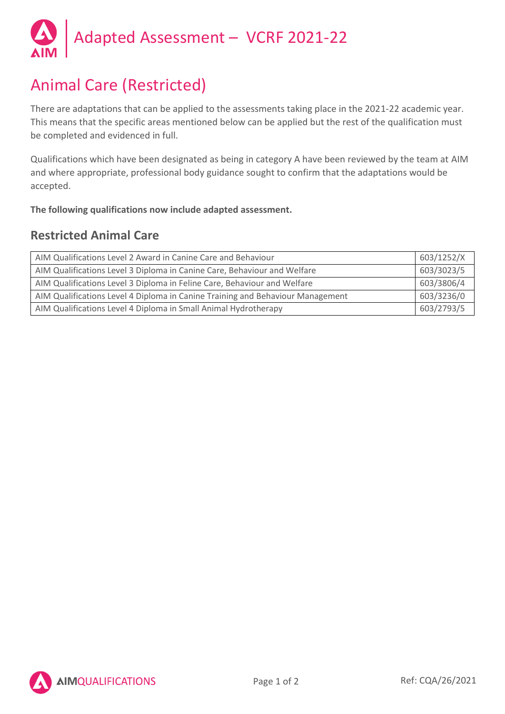

# Animal Care (Restricted)

There are adaptations that can be applied to the assessments taking place in the 2021-22 academic year. This means that the specific areas mentioned below can be applied but the rest of the qualification must be completed and evidenced in full.

Qualifications which have been designated as being in category A have been reviewed by the team at AIM and where appropriate, professional body guidance sought to confirm that the adaptations would be accepted.

**The following qualifications now include adapted assessment.**

## **Restricted Animal Care**

| AIM Qualifications Level 2 Award in Canine Care and Behaviour                  | 603/1252/X |
|--------------------------------------------------------------------------------|------------|
| AIM Qualifications Level 3 Diploma in Canine Care, Behaviour and Welfare       | 603/3023/5 |
| AIM Qualifications Level 3 Diploma in Feline Care, Behaviour and Welfare       | 603/3806/4 |
| AIM Qualifications Level 4 Diploma in Canine Training and Behaviour Management | 603/3236/0 |
| AIM Qualifications Level 4 Diploma in Small Animal Hydrotherapy                | 603/2793/5 |